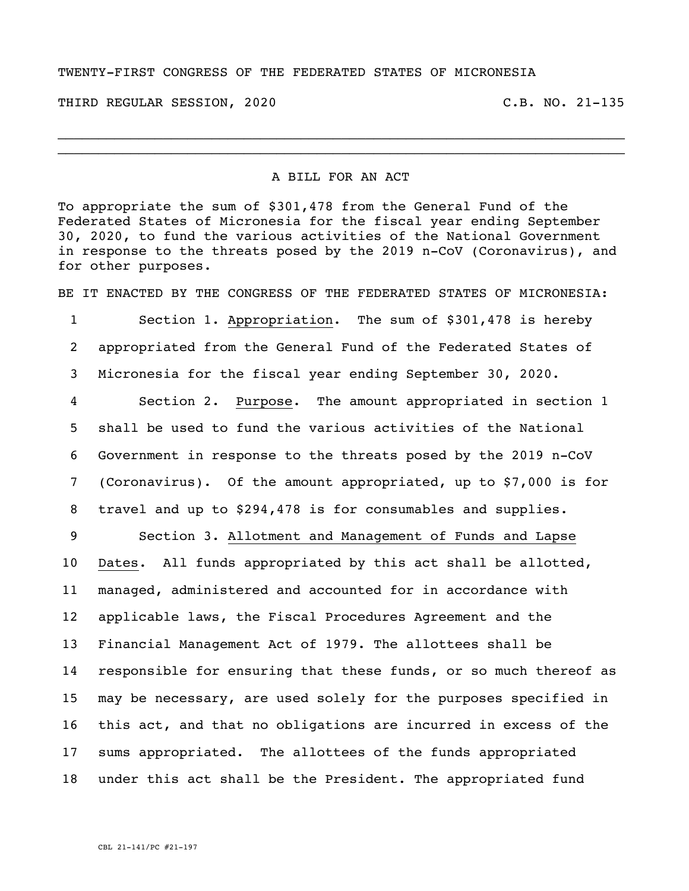## TWENTY-FIRST CONGRESS OF THE FEDERATED STATES OF MICRONESIA

THIRD REGULAR SESSION, 2020 C.B. NO. 21-135

## A BILL FOR AN ACT

\_\_\_\_\_\_\_\_\_\_\_\_\_\_\_\_\_\_\_\_\_\_\_\_\_\_\_\_\_\_\_\_\_\_\_\_\_\_\_\_\_\_\_\_\_\_\_\_\_\_\_\_\_\_\_\_\_\_\_\_\_\_\_\_\_\_\_\_\_\_ \_\_\_\_\_\_\_\_\_\_\_\_\_\_\_\_\_\_\_\_\_\_\_\_\_\_\_\_\_\_\_\_\_\_\_\_\_\_\_\_\_\_\_\_\_\_\_\_\_\_\_\_\_\_\_\_\_\_\_\_\_\_\_\_\_\_\_\_\_\_

To appropriate the sum of \$301,478 from the General Fund of the Federated States of Micronesia for the fiscal year ending September 30, 2020, to fund the various activities of the National Government in response to the threats posed by the 2019 n-CoV (Coronavirus), and for other purposes.

BE IT ENACTED BY THE CONGRESS OF THE FEDERATED STATES OF MICRONESIA:

 Section 1. Appropriation. The sum of \$301,478 is hereby appropriated from the General Fund of the Federated States of Micronesia for the fiscal year ending September 30, 2020. Section 2. Purpose. The amount appropriated in section 1

 shall be used to fund the various activities of the National Government in response to the threats posed by the 2019 n-CoV (Coronavirus). Of the amount appropriated, up to \$7,000 is for travel and up to \$294,478 is for consumables and supplies.

 Section 3. Allotment and Management of Funds and Lapse Dates. All funds appropriated by this act shall be allotted, managed, administered and accounted for in accordance with applicable laws, the Fiscal Procedures Agreement and the Financial Management Act of 1979. The allottees shall be responsible for ensuring that these funds, or so much thereof as may be necessary, are used solely for the purposes specified in this act, and that no obligations are incurred in excess of the sums appropriated. The allottees of the funds appropriated under this act shall be the President. The appropriated fund